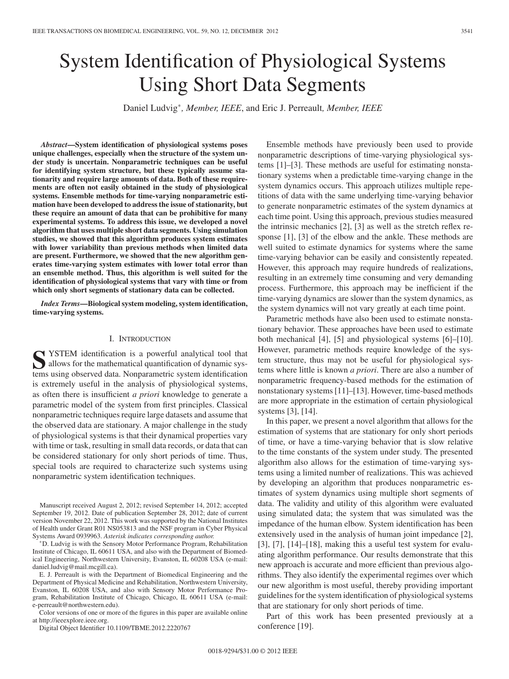# System Identification of Physiological Systems Using Short Data Segments

Daniel Ludvig<sup>∗</sup>*, Member, IEEE*, and Eric J. Perreault*, Member, IEEE*

*Abstract***—System identification of physiological systems poses unique challenges, especially when the structure of the system under study is uncertain. Nonparametric techniques can be useful for identifying system structure, but these typically assume stationarity and require large amounts of data. Both of these requirements are often not easily obtained in the study of physiological systems. Ensemble methods for time-varying nonparametric estimation have been developed to address the issue of stationarity, but these require an amount of data that can be prohibitive for many experimental systems. To address this issue, we developed a novel algorithm that uses multiple short data segments. Using simulation studies, we showed that this algorithm produces system estimates with lower variability than previous methods when limited data are present. Furthermore, we showed that the new algorithm generates time-varying system estimates with lower total error than an ensemble method. Thus, this algorithm is well suited for the identification of physiological systems that vary with time or from which only short segments of stationary data can be collected.**

*Index Terms***—Biological system modeling, system identification, time-varying systems.**

## I. INTRODUCTION

**S** YSTEM identification is a powerful analytical tool that allows for the mathematical quantification of dynamic systems using observed data. Nonparametric system identification is extremely useful in the analysis of physiological systems, as often there is insufficient *a priori* knowledge to generate a parametric model of the system from first principles. Classical nonparametric techniques require large datasets and assume that the observed data are stationary. A major challenge in the study of physiological systems is that their dynamical properties vary with time or task, resulting in small data records, or data that can be considered stationary for only short periods of time. Thus, special tools are required to characterize such systems using nonparametric system identification techniques.

Manuscript received August 2, 2012; revised September 14, 2012; accepted September 19, 2012. Date of publication September 28, 2012; date of current version November 22, 2012. This work was supported by the National Institutes of Health under Grant R01 NS053813 and the NSF program in Cyber Physical Systems Award 0939963. Asterisk indicates corresponding author.

Systems Award 0939963. *Asterisk indicates corresponding author.* <sup>∗</sup>D. Ludvig is with the Sensory Motor Performance Program, Rehabilitation Institute of Chicago, IL 60611 USA, and also with the Department of Biomedical Engineering, Northwestern University, Evanston, IL 60208 USA (e-mail: daniel.ludvig@mail.mcgill.ca).

E. J. Perreault is with the Department of Biomedical Engineering and the Department of Physical Medicine and Rehabilitation, Northwestern University, Evanston, IL 60208 USA, and also with Sensory Motor Performance Program, Rehabilitation Institute of Chicago, Chicago, IL 60611 USA (e-mail: e-perreault@northwestern.edu).

Color versions of one or more of the figures in this paper are available online at http://ieeexplore.ieee.org.

Digital Object Identifier 10.1109/TBME.2012.2220767

Ensemble methods have previously been used to provide nonparametric descriptions of time-varying physiological systems [1]–[3]. These methods are useful for estimating nonstationary systems when a predictable time-varying change in the system dynamics occurs. This approach utilizes multiple repetitions of data with the same underlying time-varying behavior to generate nonparametric estimates of the system dynamics at each time point. Using this approach, previous studies measured the intrinsic mechanics [2], [3] as well as the stretch reflex response [1], [3] of the elbow and the ankle. These methods are well suited to estimate dynamics for systems where the same time-varying behavior can be easily and consistently repeated. However, this approach may require hundreds of realizations, resulting in an extremely time consuming and very demanding process. Furthermore, this approach may be inefficient if the time-varying dynamics are slower than the system dynamics, as the system dynamics will not vary greatly at each time point.

Parametric methods have also been used to estimate nonstationary behavior. These approaches have been used to estimate both mechanical [4], [5] and physiological systems [6]–[10]. However, parametric methods require knowledge of the system structure, thus may not be useful for physiological systems where little is known *a priori*. There are also a number of nonparametric frequency-based methods for the estimation of nonstationary systems [11]–[13]. However, time-based methods are more appropriate in the estimation of certain physiological systems [3], [14].

In this paper, we present a novel algorithm that allows for the estimation of systems that are stationary for only short periods of time, or have a time-varying behavior that is slow relative to the time constants of the system under study. The presented algorithm also allows for the estimation of time-varying systems using a limited number of realizations. This was achieved by developing an algorithm that produces nonparametric estimates of system dynamics using multiple short segments of data. The validity and utility of this algorithm were evaluated using simulated data; the system that was simulated was the impedance of the human elbow. System identification has been extensively used in the analysis of human joint impedance [2], [3], [7], [14]–[18], making this a useful test system for evaluating algorithm performance. Our results demonstrate that this new approach is accurate and more efficient than previous algorithms. They also identify the experimental regimes over which our new algorithm is most useful, thereby providing important guidelines for the system identification of physiological systems that are stationary for only short periods of time.

Part of this work has been presented previously at a conference [19].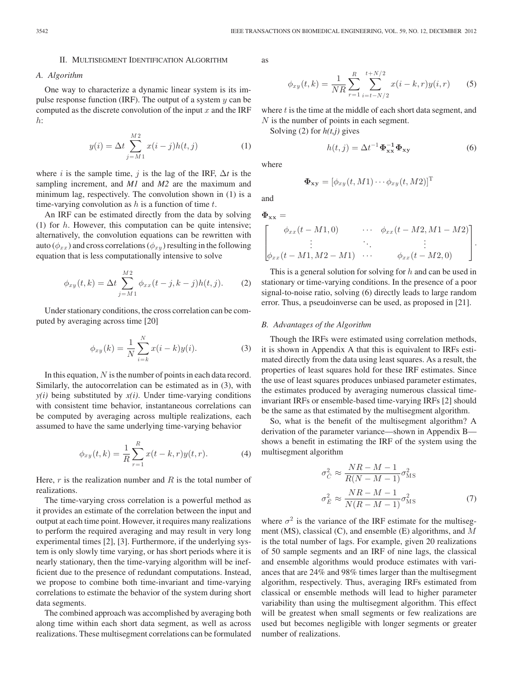#### II. MULTISEGMENT IDENTIFICATION ALGORITHM

## *A. Algorithm*

One way to characterize a dynamic linear system is its impulse response function (IRF). The output of a system  $y$  can be computed as the discrete convolution of the input  $x$  and the IRF  $h$ :

$$
y(i) = \Delta t \sum_{j=M1}^{M2} x(i-j)h(t,j)
$$
 (1)

where i is the sample time, j is the lag of the IRF,  $\Delta t$  is the sampling increment, and *M1* and *M2* are the maximum and minimum lag, respectively. The convolution shown in (1) is a time-varying convolution as  $h$  is a function of time  $t$ .

An IRF can be estimated directly from the data by solving (1) for  $h$ . However, this computation can be quite intensive; alternatively, the convolution equations can be rewritten with auto ( $\phi_{xx}$ ) and cross correlations ( $\phi_{xy}$ ) resulting in the following equation that is less computationally intensive to solve

$$
\phi_{xy}(t,k) = \Delta t \sum_{j=M1}^{M2} \phi_{xx}(t-j,k-j)h(t,j).
$$
 (2)

Under stationary conditions, the cross correlation can be computed by averaging across time [20]

$$
\phi_{xy}(k) = \frac{1}{N} \sum_{i=k}^{N} x(i-k)y(i).
$$
 (3)

In this equation, N is the number of points in each data record. Similarly, the autocorrelation can be estimated as in (3), with  $y(i)$  being substituted by  $x(i)$ . Under time-varying conditions with consistent time behavior, instantaneous correlations can be computed by averaging across multiple realizations, each assumed to have the same underlying time-varying behavior

$$
\phi_{xy}(t,k) = \frac{1}{R} \sum_{r=1}^{R} x(t-k,r)y(t,r).
$$
 (4)

Here,  $r$  is the realization number and  $R$  is the total number of realizations.

The time-varying cross correlation is a powerful method as it provides an estimate of the correlation between the input and output at each time point. However, it requires many realizations to perform the required averaging and may result in very long experimental times [2], [3]. Furthermore, if the underlying system is only slowly time varying, or has short periods where it is nearly stationary, then the time-varying algorithm will be inefficient due to the presence of redundant computations. Instead, we propose to combine both time-invariant and time-varying correlations to estimate the behavior of the system during short data segments.

The combined approach was accomplished by averaging both along time within each short data segment, as well as across realizations. These multisegment correlations can be formulated as

$$
\phi_{xy}(t,k) = \frac{1}{NR} \sum_{r=1}^{R} \sum_{i=t-N/2}^{t+N/2} x(i-k,r)y(i,r)
$$
 (5)

where  $t$  is the time at the middle of each short data segment, and N is the number of points in each segment.

Solving (2) for *h(t,j)* gives

$$
h(t,j) = \Delta t^{-1} \mathbf{\Phi}_{\mathbf{xx}}^{-1} \mathbf{\Phi}_{\mathbf{xy}}
$$
 (6)

where

$$
\mathbf{\Phi}_{\mathbf{xy}} = [\phi_{xy}(t, M1) \cdots \phi_{xy}(t, M2)]^{\mathrm{T}}
$$

and  $\Phi_{\text{vv}} =$ 

$$
\begin{bmatrix}\n\phi_{xx}(t - M1, 0) & \cdots & \phi_{xx}(t - M2, M1 - M2) \\
\vdots & \ddots & \vdots \\
\phi_{xx}(t - M1, M2 - M1) & \cdots & \phi_{xx}(t - M2, 0)\n\end{bmatrix}.
$$

This is a general solution for solving for  $h$  and can be used in stationary or time-varying conditions. In the presence of a poor signal-to-noise ratio, solving (6) directly leads to large random error. Thus, a pseudoinverse can be used, as proposed in [21].

### *B. Advantages of the Algorithm*

Though the IRFs were estimated using correlation methods, it is shown in Appendix A that this is equivalent to IRFs estimated directly from the data using least squares. As a result, the properties of least squares hold for these IRF estimates. Since the use of least squares produces unbiased parameter estimates, the estimates produced by averaging numerous classical timeinvariant IRFs or ensemble-based time-varying IRFs [2] should be the same as that estimated by the multisegment algorithm.

So, what is the benefit of the multisegment algorithm? A derivation of the parameter variance—shown in Appendix B shows a benefit in estimating the IRF of the system using the multisegment algorithm

$$
\sigma_C^2 \approx \frac{NR - M - 1}{R(N - M - 1)} \sigma_{MS}^2
$$

$$
\sigma_{\bar{E}}^2 \approx \frac{NR - M - 1}{N(R - M - 1)} \sigma_{MS}^2
$$
(7)

where  $\sigma^2$  is the variance of the IRF estimate for the multisegment (MS), classical (C), and ensemble (E) algorithms, and  $M$ is the total number of lags. For example, given 20 realizations of 50 sample segments and an IRF of nine lags, the classical and ensemble algorithms would produce estimates with variances that are 24% and 98% times larger than the multisegment algorithm, respectively. Thus, averaging IRFs estimated from classical or ensemble methods will lead to higher parameter variability than using the multisegment algorithm. This effect will be greatest when small segments or few realizations are used but becomes negligible with longer segments or greater number of realizations.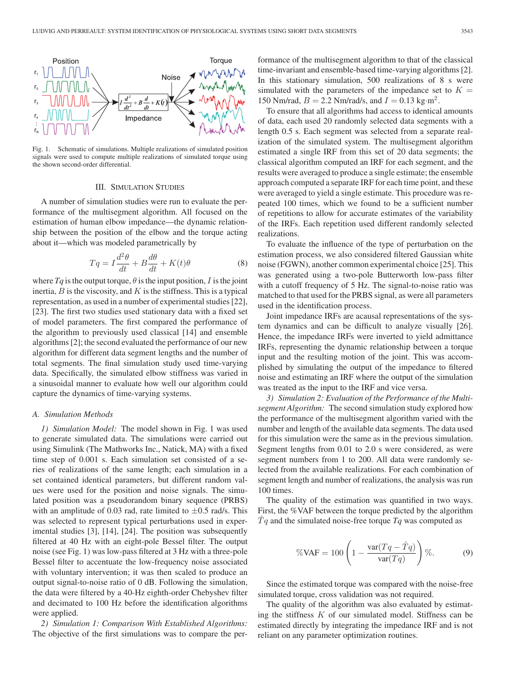

Fig. 1. Schematic of simulations. Multiple realizations of simulated position signals were used to compute multiple realizations of simulated torque using the shown second-order differential.

## III. SIMULATION STUDIES

A number of simulation studies were run to evaluate the performance of the multisegment algorithm. All focused on the estimation of human elbow impedance—the dynamic relationship between the position of the elbow and the torque acting about it—which was modeled parametrically by

$$
Tq = I\frac{d^2\theta}{dt} + B\frac{d\theta}{dt} + K(t)\theta
$$
\n(8)

where  $Tq$  is the output torque,  $\theta$  is the input position, I is the joint inertia,  $B$  is the viscosity, and  $K$  is the stiffness. This is a typical representation, as used in a number of experimental studies [22], [23]. The first two studies used stationary data with a fixed set of model parameters. The first compared the performance of the algorithm to previously used classical [14] and ensemble algorithms [2]; the second evaluated the performance of our new algorithm for different data segment lengths and the number of total segments. The final simulation study used time-varying data. Specifically, the simulated elbow stiffness was varied in a sinusoidal manner to evaluate how well our algorithm could capture the dynamics of time-varying systems.

# *A. Simulation Methods*

*1) Simulation Model:* The model shown in Fig. 1 was used to generate simulated data. The simulations were carried out using Simulink (The Mathworks Inc., Natick, MA) with a fixed time step of 0.001 s. Each simulation set consisted of a series of realizations of the same length; each simulation in a set contained identical parameters, but different random values were used for the position and noise signals. The simulated position was a pseudorandom binary sequence (PRBS) with an amplitude of 0.03 rad, rate limited to  $\pm 0.5$  rad/s. This was selected to represent typical perturbations used in experimental studies [3], [14], [24]. The position was subsequently filtered at 40 Hz with an eight-pole Bessel filter. The output noise (see Fig. 1) was low-pass filtered at 3 Hz with a three-pole Bessel filter to accentuate the low-frequency noise associated with voluntary intervention; it was then scaled to produce an output signal-to-noise ratio of 0 dB. Following the simulation, the data were filtered by a 40-Hz eighth-order Chebyshev filter and decimated to 100 Hz before the identification algorithms were applied.

*2) Simulation 1: Comparison With Established Algorithms:* The objective of the first simulations was to compare the performance of the multisegment algorithm to that of the classical time-invariant and ensemble-based time-varying algorithms [2]. In this stationary simulation, 500 realizations of 8 s were simulated with the parameters of the impedance set to  $K =$ 150 Nm/rad,  $B = 2.2$  Nm/rad/s, and  $I = 0.13$  kg·m<sup>2</sup>.

To ensure that all algorithms had access to identical amounts of data, each used 20 randomly selected data segments with a length 0.5 s. Each segment was selected from a separate realization of the simulated system. The multisegment algorithm estimated a single IRF from this set of 20 data segments; the classical algorithm computed an IRF for each segment, and the results were averaged to produce a single estimate; the ensemble approach computed a separate IRF for each time point, and these were averaged to yield a single estimate. This procedure was repeated 100 times, which we found to be a sufficient number of repetitions to allow for accurate estimates of the variability of the IRFs. Each repetition used different randomly selected realizations.

To evaluate the influence of the type of perturbation on the estimation process, we also considered filtered Gaussian white noise (FGWN), another common experimental choice [25]. This was generated using a two-pole Butterworth low-pass filter with a cutoff frequency of 5 Hz. The signal-to-noise ratio was matched to that used for the PRBS signal, as were all parameters used in the identification process.

Joint impedance IRFs are acausal representations of the system dynamics and can be difficult to analyze visually [26]. Hence, the impedance IRFs were inverted to yield admittance IRFs, representing the dynamic relationship between a torque input and the resulting motion of the joint. This was accomplished by simulating the output of the impedance to filtered noise and estimating an IRF where the output of the simulation was treated as the input to the IRF and vice versa.

*3) Simulation 2: Evaluation of the Performance of the Multisegment Algorithm:* The second simulation study explored how the performance of the multisegment algorithm varied with the number and length of the available data segments. The data used for this simulation were the same as in the previous simulation. Segment lengths from 0.01 to 2.0 s were considered, as were segment numbers from 1 to 200. All data were randomly selected from the available realizations. For each combination of segment length and number of realizations, the analysis was run 100 times.

The quality of the estimation was quantified in two ways. First, the %VAF between the torque predicted by the algorithm  $Tq$  and the simulated noise-free torque  $Tq$  was computed as

$$
\% \text{VAF} = 100 \left( 1 - \frac{\text{var}(Tq - \hat{T}q)}{\text{var}(Tq)} \right) \%. \tag{9}
$$

Since the estimated torque was compared with the noise-free simulated torque, cross validation was not required.

The quality of the algorithm was also evaluated by estimating the stiffness  $K$  of our simulated model. Stiffness can be estimated directly by integrating the impedance IRF and is not reliant on any parameter optimization routines.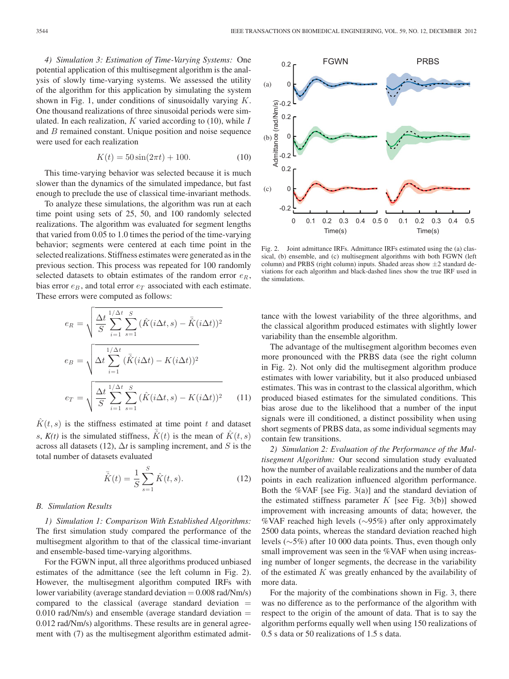*4) Simulation 3: Estimation of Time-Varying Systems:* One potential application of this multisegment algorithm is the analysis of slowly time-varying systems. We assessed the utility of the algorithm for this application by simulating the system shown in Fig. 1, under conditions of sinusoidally varying K. One thousand realizations of three sinusoidal periods were simulated. In each realization,  $K$  varied according to (10), while  $I$ and B remained constant. Unique position and noise sequence were used for each realization

$$
K(t) = 50\sin(2\pi t) + 100.\tag{10}
$$

This time-varying behavior was selected because it is much slower than the dynamics of the simulated impedance, but fast enough to preclude the use of classical time-invariant methods.

To analyze these simulations, the algorithm was run at each time point using sets of 25, 50, and 100 randomly selected realizations. The algorithm was evaluated for segment lengths that varied from 0.05 to 1.0 times the period of the time-varying behavior; segments were centered at each time point in the selected realizations. Stiffness estimates were generated as in the previous section. This process was repeated for 100 randomly selected datasets to obtain estimates of the random error  $e_R$ , bias error  $e_B$ , and total error  $e_T$  associated with each estimate. These errors were computed as follows:

$$
e_R = \sqrt{\frac{\Delta t}{S} \sum_{i=1}^{1/\Delta t} \sum_{s=1}^{S} (\hat{K}(i\Delta t, s) - \bar{\hat{K}}(i\Delta t))^2}
$$

$$
e_B = \sqrt{\Delta t \sum_{i=1}^{1/\Delta t} (\bar{\hat{K}}(i\Delta t) - K(i\Delta t))^2}
$$

$$
e_T = \sqrt{\frac{\Delta t}{S} \sum_{i=1}^{1/\Delta t} \sum_{s=1}^{S} (\hat{K}(i\Delta t, s) - K(i\Delta t))^2}
$$
(11)

 $\hat{K}(t,s)$  is the stiffness estimated at time point t and dataset s,  $K(t)$  is the simulated stiffness,  $\overline{\hat{K}}(t)$  is the mean of  $\hat{K}(t, s)$ across all datasets (12),  $\Delta t$  is sampling increment, and S is the total number of datasets evaluated

$$
\bar{\hat{K}}(t) = \frac{1}{S} \sum_{s=1}^{S} \hat{K}(t, s).
$$
 (12)

### *B. Simulation Results*

*1) Simulation 1: Comparison With Established Algorithms:* The first simulation study compared the performance of the multisegment algorithm to that of the classical time-invariant and ensemble-based time-varying algorithms.

For the FGWN input, all three algorithms produced unbiased estimates of the admittance (see the left column in Fig. 2). However, the multisegment algorithm computed IRFs with lower variability (average standard deviation  $= 0.008$  rad/Nm/s) compared to the classical (average standard deviation  $=$  $0.010$  rad/Nm/s) and ensemble (average standard deviation  $=$ 0.012 rad/Nm/s) algorithms. These results are in general agreement with (7) as the multisegment algorithm estimated admit-



Fig. 2. Joint admittance IRFs. Admittance IRFs estimated using the (a) classical, (b) ensemble, and (c) multisegment algorithms with both FGWN (left column) and PRBS (right column) inputs. Shaded areas show  $\pm 2$  standard deviations for each algorithm and black-dashed lines show the true IRF used in the simulations.

tance with the lowest variability of the three algorithms, and the classical algorithm produced estimates with slightly lower variability than the ensemble algorithm.

The advantage of the multisegment algorithm becomes even more pronounced with the PRBS data (see the right column in Fig. 2). Not only did the multisegment algorithm produce estimates with lower variability, but it also produced unbiased estimates. This was in contrast to the classical algorithm, which produced biased estimates for the simulated conditions. This bias arose due to the likelihood that a number of the input signals were ill conditioned, a distinct possibility when using short segments of PRBS data, as some individual segments may contain few transitions.

*2) Simulation 2: Evaluation of the Performance of the Multisegment Algorithm:* Our second simulation study evaluated how the number of available realizations and the number of data points in each realization influenced algorithm performance. Both the %VAF [see Fig. 3(a)] and the standard deviation of the estimated stiffness parameter  $K$  [see Fig. 3(b)] showed improvement with increasing amounts of data; however, the %VAF reached high levels (∼95%) after only approximately 2500 data points, whereas the standard deviation reached high levels (∼5%) after 10 000 data points. Thus, even though only small improvement was seen in the %VAF when using increasing number of longer segments, the decrease in the variability of the estimated  $K$  was greatly enhanced by the availability of more data.

For the majority of the combinations shown in Fig. 3, there was no difference as to the performance of the algorithm with respect to the origin of the amount of data. That is to say the algorithm performs equally well when using 150 realizations of 0.5 s data or 50 realizations of 1.5 s data.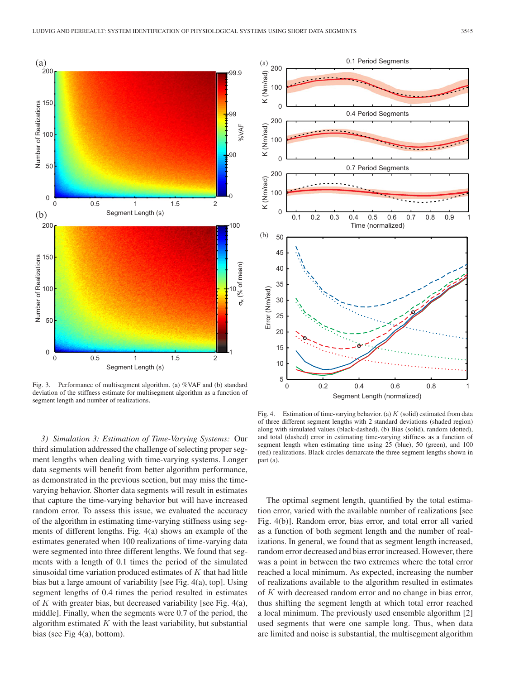

Fig. 3. Performance of multisegment algorithm. (a) %VAF and (b) standard deviation of the stiffness estimate for multisegment algorithm as a function of segment length and number of realizations.

*3) Simulation 3: Estimation of Time-Varying Systems:* Our third simulation addressed the challenge of selecting proper segment lengths when dealing with time-varying systems. Longer data segments will benefit from better algorithm performance, as demonstrated in the previous section, but may miss the timevarying behavior. Shorter data segments will result in estimates that capture the time-varying behavior but will have increased random error. To assess this issue, we evaluated the accuracy of the algorithm in estimating time-varying stiffness using segments of different lengths. Fig. 4(a) shows an example of the estimates generated when 100 realizations of time-varying data were segmented into three different lengths. We found that segments with a length of 0.1 times the period of the simulated sinusoidal time variation produced estimates of  $K$  that had little bias but a large amount of variability [see Fig. 4(a), top]. Using segment lengths of 0.4 times the period resulted in estimates of K with greater bias, but decreased variability [see Fig. 4(a), middle]. Finally, when the segments were 0.7 of the period, the algorithm estimated  $K$  with the least variability, but substantial bias (see Fig 4(a), bottom).



Fig. 4. Estimation of time-varying behavior. (a)  $K$  (solid) estimated from data of three different segment lengths with 2 standard deviations (shaded region) along with simulated values (black-dashed). (b) Bias (solid), random (dotted), and total (dashed) error in estimating time-varying stiffness as a function of segment length when estimating time using 25 (blue), 50 (green), and 100 (red) realizations. Black circles demarcate the three segment lengths shown in part (a).

The optimal segment length, quantified by the total estimation error, varied with the available number of realizations [see Fig. 4(b)]. Random error, bias error, and total error all varied as a function of both segment length and the number of realizations. In general, we found that as segment length increased, random error decreased and bias error increased. However, there was a point in between the two extremes where the total error reached a local minimum. As expected, increasing the number of realizations available to the algorithm resulted in estimates of K with decreased random error and no change in bias error, thus shifting the segment length at which total error reached a local minimum. The previously used ensemble algorithm [2] used segments that were one sample long. Thus, when data are limited and noise is substantial, the multisegment algorithm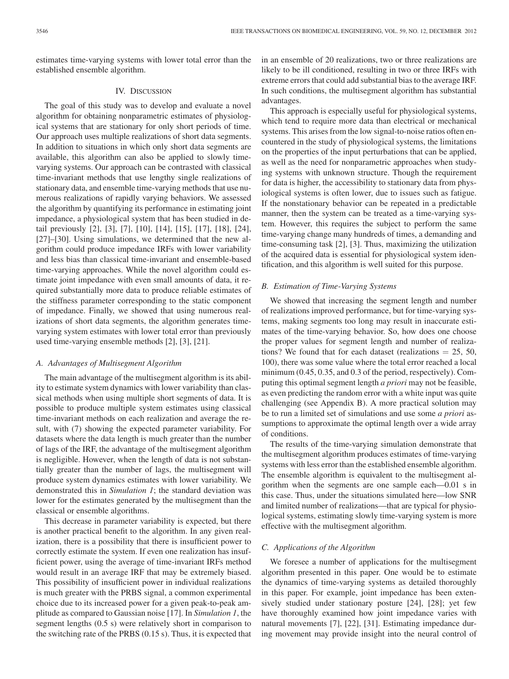estimates time-varying systems with lower total error than the established ensemble algorithm.

# IV. DISCUSSION

The goal of this study was to develop and evaluate a novel algorithm for obtaining nonparametric estimates of physiological systems that are stationary for only short periods of time. Our approach uses multiple realizations of short data segments. In addition to situations in which only short data segments are available, this algorithm can also be applied to slowly timevarying systems. Our approach can be contrasted with classical time-invariant methods that use lengthy single realizations of stationary data, and ensemble time-varying methods that use numerous realizations of rapidly varying behaviors. We assessed the algorithm by quantifying its performance in estimating joint impedance, a physiological system that has been studied in detail previously [2], [3], [7], [10], [14], [15], [17], [18], [24], [27]–[30]. Using simulations, we determined that the new algorithm could produce impedance IRFs with lower variability and less bias than classical time-invariant and ensemble-based time-varying approaches. While the novel algorithm could estimate joint impedance with even small amounts of data, it required substantially more data to produce reliable estimates of the stiffness parameter corresponding to the static component of impedance. Finally, we showed that using numerous realizations of short data segments, the algorithm generates timevarying system estimates with lower total error than previously used time-varying ensemble methods [2], [3], [21].

# *A. Advantages of Multisegment Algorithm*

The main advantage of the multisegment algorithm is its ability to estimate system dynamics with lower variability than classical methods when using multiple short segments of data. It is possible to produce multiple system estimates using classical time-invariant methods on each realization and average the result, with (7) showing the expected parameter variability. For datasets where the data length is much greater than the number of lags of the IRF, the advantage of the multisegment algorithm is negligible. However, when the length of data is not substantially greater than the number of lags, the multisegment will produce system dynamics estimates with lower variability. We demonstrated this in *Simulation 1*; the standard deviation was lower for the estimates generated by the multisegment than the classical or ensemble algorithms.

This decrease in parameter variability is expected, but there is another practical benefit to the algorithm. In any given realization, there is a possibility that there is insufficient power to correctly estimate the system. If even one realization has insufficient power, using the average of time-invariant IRFs method would result in an average IRF that may be extremely biased. This possibility of insufficient power in individual realizations is much greater with the PRBS signal, a common experimental choice due to its increased power for a given peak-to-peak amplitude as compared to Gaussian noise [17]. In *Simulation 1*, the segment lengths (0.5 s) were relatively short in comparison to the switching rate of the PRBS (0.15 s). Thus, it is expected that

in an ensemble of 20 realizations, two or three realizations are likely to be ill conditioned, resulting in two or three IRFs with extreme errors that could add substantial bias to the average IRF. In such conditions, the multisegment algorithm has substantial advantages.

This approach is especially useful for physiological systems, which tend to require more data than electrical or mechanical systems. This arises from the low signal-to-noise ratios often encountered in the study of physiological systems, the limitations on the properties of the input perturbations that can be applied, as well as the need for nonparametric approaches when studying systems with unknown structure. Though the requirement for data is higher, the accessibility to stationary data from physiological systems is often lower, due to issues such as fatigue. If the nonstationary behavior can be repeated in a predictable manner, then the system can be treated as a time-varying system. However, this requires the subject to perform the same time-varying change many hundreds of times, a demanding and time-consuming task [2], [3]. Thus, maximizing the utilization of the acquired data is essential for physiological system identification, and this algorithm is well suited for this purpose.

# *B. Estimation of Time-Varying Systems*

We showed that increasing the segment length and number of realizations improved performance, but for time-varying systems, making segments too long may result in inaccurate estimates of the time-varying behavior. So, how does one choose the proper values for segment length and number of realizations? We found that for each dataset (realizations  $= 25, 50,$ 100), there was some value where the total error reached a local minimum (0.45, 0.35, and 0.3 of the period, respectively). Computing this optimal segment length *a priori* may not be feasible, as even predicting the random error with a white input was quite challenging (see Appendix B). A more practical solution may be to run a limited set of simulations and use some *a priori* assumptions to approximate the optimal length over a wide array of conditions.

The results of the time-varying simulation demonstrate that the multisegment algorithm produces estimates of time-varying systems with less error than the established ensemble algorithm. The ensemble algorithm is equivalent to the multisegment algorithm when the segments are one sample each—0.01 s in this case. Thus, under the situations simulated here—low SNR and limited number of realizations—that are typical for physiological systems, estimating slowly time-varying system is more effective with the multisegment algorithm.

## *C. Applications of the Algorithm*

We foresee a number of applications for the multisegment algorithm presented in this paper. One would be to estimate the dynamics of time-varying systems as detailed thoroughly in this paper. For example, joint impedance has been extensively studied under stationary posture [24], [28]; yet few have thoroughly examined how joint impedance varies with natural movements [7], [22], [31]. Estimating impedance during movement may provide insight into the neural control of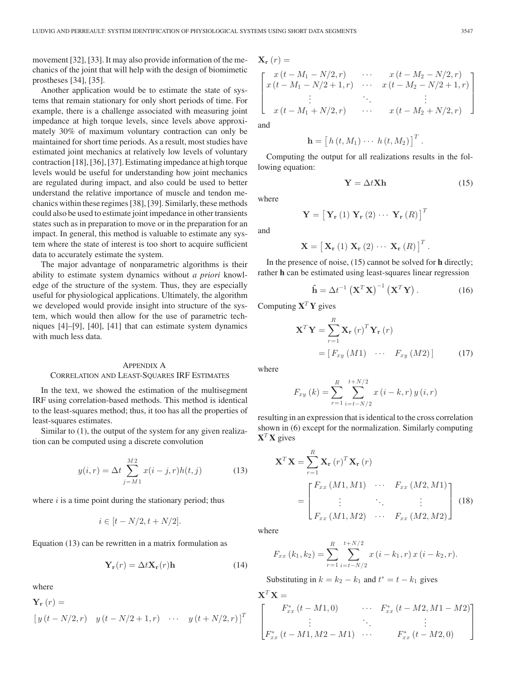movement [32], [33]. It may also provide information of the mechanics of the joint that will help with the design of biomimetic prostheses [34], [35].

Another application would be to estimate the state of systems that remain stationary for only short periods of time. For example, there is a challenge associated with measuring joint impedance at high torque levels, since levels above approximately 30% of maximum voluntary contraction can only be maintained for short time periods. As a result, most studies have estimated joint mechanics at relatively low levels of voluntary contraction [18], [36], [37]. Estimating impedance at high torque levels would be useful for understanding how joint mechanics are regulated during impact, and also could be used to better understand the relative importance of muscle and tendon mechanics within these regimes [38], [39]. Similarly, these methods could also be used to estimate joint impedance in other transients states such as in preparation to move or in the preparation for an impact. In general, this method is valuable to estimate any system where the state of interest is too short to acquire sufficient data to accurately estimate the system.

The major advantage of nonparametric algorithms is their ability to estimate system dynamics without *a priori* knowledge of the structure of the system. Thus, they are especially useful for physiological applications. Ultimately, the algorithm we developed would provide insight into structure of the system, which would then allow for the use of parametric techniques [4]–[9], [40], [41] that can estimate system dynamics with much less data.

# APPENDIX A CORRELATION AND LEAST-SQUARES IRF ESTIMATES

In the text, we showed the estimation of the multisegment IRF using correlation-based methods. This method is identical to the least-squares method; thus, it too has all the properties of least-squares estimates.

Similar to  $(1)$ , the output of the system for any given realization can be computed using a discrete convolution

$$
y(i,r) = \Delta t \sum_{j=M1}^{M2} x(i-j,r)h(t,j)
$$
 (13)

where  $i$  is a time point during the stationary period; thus

$$
i \in [t - N/2, t + N/2].
$$

Equation (13) can be rewritten in a matrix formulation as

$$
\mathbf{Y}_{\mathbf{r}}(r) = \Delta t \mathbf{X}_{\mathbf{r}}(r) \mathbf{h} \tag{14}
$$

where

$$
\mathbf{Y}_{\mathbf{r}}(r) =
$$
  
\n[ y(t - N/2,r) y(t - N/2 + 1, r) ... y(t + N/2,r)]<sup>T</sup>

$$
X_{r}(r) =
$$
\n
$$
\begin{bmatrix}\nx(t - M_{1} - N/2, r) & \cdots & x(t - M_{2} - N/2, r) \\
x(t - M_{1} - N/2 + 1, r) & \cdots & x(t - M_{2} - N/2 + 1, r) \\
\vdots & \ddots & \vdots \\
x(t - M_{1} + N/2, r) & \cdots & x(t - M_{2} + N/2, r)\n\end{bmatrix}
$$
\nand

and

 $\langle \cdot, \cdot \rangle$ 

$$
\mathbf{h} = [h(t, M_1) \cdots h(t, M_2)]^T.
$$

Computing the output for all realizations results in the following equation:

$$
Y = \Delta t X h \tag{15}
$$

where

$$
\mathbf{Y} = \left[ \mathbf{Y}_{\mathbf{r}} \left( 1 \right) \mathbf{Y}_{\mathbf{r}} \left( 2 \right) \cdots \mathbf{Y}_{\mathbf{r}} \left( R \right) \right]^{T}
$$

and

$$
\mathbf{X} = \left[\mathbf{X}_{\mathbf{r}}\left(1\right)\mathbf{X}_{\mathbf{r}}\left(2\right)\cdots\mathbf{X}_{\mathbf{r}}\left(R\right)\right]^{T}.
$$

In the presence of noise, (15) cannot be solved for **h** directly; rather **h** can be estimated using least-squares linear regression

$$
\hat{\mathbf{h}} = \Delta t^{-1} \left( \mathbf{X}^T \mathbf{X} \right)^{-1} \left( \mathbf{X}^T \mathbf{Y} \right). \tag{16}
$$

Computing  $X^T Y$  gives

$$
\mathbf{X}^T \mathbf{Y} = \sum_{r=1}^R \mathbf{X}_r (r)^T \mathbf{Y}_r (r)
$$
  
=  $[F_{xy} (M1) \cdots F_{xy} (M2)]$  (17)

where

$$
F_{xy}(k) = \sum_{r=1}^{R} \sum_{i=t-N/2}^{t+N/2} x(i-k,r) y(i,r)
$$

resulting in an expression that is identical to the cross correlation shown in (6) except for the normalization. Similarly computing  $X^T X$  gives

$$
\mathbf{X}^T \mathbf{X} = \sum_{r=1}^R \mathbf{X}_r (r)^T \mathbf{X}_r (r)
$$
  
= 
$$
\begin{bmatrix} F_{xx} (M1, M1) & \cdots & F_{xx} (M2, M1) \\ \vdots & \ddots & \vdots \\ F_{xx} (M1, M2) & \cdots & F_{xx} (M2, M2) \end{bmatrix}
$$
(18)

where

$$
F_{xx}(k_1, k_2) = \sum_{r=1}^{R} \sum_{i=t-N/2}^{t+N/2} x(i - k_1, r) x(i - k_2, r).
$$

Substituting in  $k = k_2 - k_1$  and  $t^* = t - k_1$  gives

$$
\mathbf{X}^T \mathbf{X} = \begin{bmatrix} F_{xx}^* (t - M1, 0) & \cdots & F_{xx}^* (t - M2, M1 - M2) \\ \vdots & \ddots & \vdots \\ F_{xx}^* (t - M1, M2 - M1) & \cdots & F_{xx}^* (t - M2, 0) \end{bmatrix}
$$

⎤  $\overline{a}$  $\overline{a}$  $\frac{1}{2}$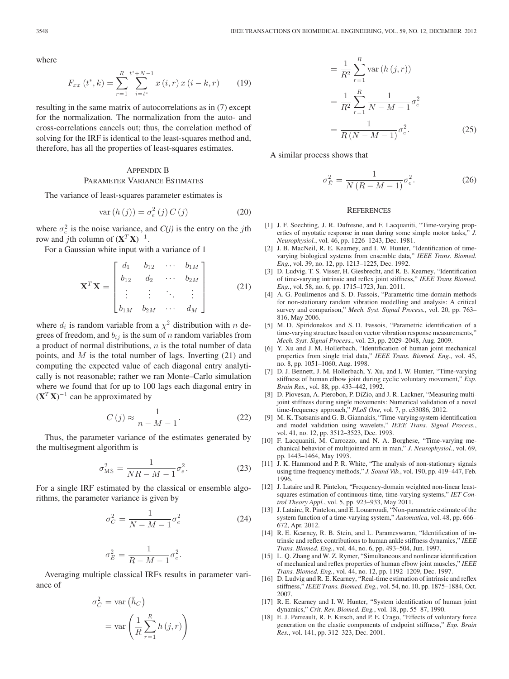where

$$
F_{xx}(t^*,k) = \sum_{r=1}^{R} \sum_{i=t^*}^{t^*+N-1} x(i,r) x(i-k,r)
$$
 (19)

resulting in the same matrix of autocorrelations as in (7) except for the normalization. The normalization from the auto- and cross-correlations cancels out; thus, the correlation method of solving for the IRF is identical to the least-squares method and, therefore, has all the properties of least-squares estimates.

# APPENDIX B PARAMETER VARIANCE ESTIMATES

The variance of least-squares parameter estimates is

$$
\operatorname{var}\left(h\left(j\right)\right) = \sigma_e^2\left(j\right) C\left(j\right) \tag{20}
$$

where  $\sigma_e^2$  is the noise variance, and  $C(j)$  is the entry on the jth row and *j*th column of  $(\mathbf{X}^T \mathbf{X})^{-1}$ .

For a Gaussian white input with a variance of 1

$$
\mathbf{X}^T \mathbf{X} = \begin{bmatrix} d_1 & b_{12} & \cdots & b_{1M} \\ b_{12} & d_2 & \cdots & b_{2M} \\ \vdots & \vdots & \ddots & \vdots \\ b_{1M} & b_{2M} & \cdots & d_M \end{bmatrix}
$$
(21)

where  $d_i$  is random variable from a  $\chi^2$  distribution with n degrees of freedom, and  $b_{ij}$  is the sum of n random variables from a product of normal distributions,  $n$  is the total number of data points, and  $M$  is the total number of lags. Inverting (21) and computing the expected value of each diagonal entry analytically is not reasonable; rather we ran Monte–Carlo simulation where we found that for up to 100 lags each diagonal entry in  $(X^T X)^{-1}$  can be approximated by

$$
C(j) \approx \frac{1}{n - M - 1}.\tag{22}
$$

Thus, the parameter variance of the estimates generated by the multisegment algorithm is

$$
\sigma_{\text{MS}}^2 = \frac{1}{NR - M - 1} \sigma_e^2. \tag{23}
$$

For a single IRF estimated by the classical or ensemble algorithms, the parameter variance is given by

$$
\sigma_C^2 = \frac{1}{N - M - 1} \sigma_e^2 \tag{24}
$$

$$
\sigma_E^2 = \frac{1}{R - M - 1} \sigma_e^2.
$$

Averaging multiple classical IRFs results in parameter variance of

$$
\sigma_C^2 = \text{var}(\bar{h}_C)
$$

$$
= \text{var}\left(\frac{1}{R}\sum_{r=1}^R h(j,r)\right)
$$

$$
= \frac{1}{R^2} \sum_{r=1}^{R} \text{var}(h(j,r))
$$
  
= 
$$
\frac{1}{R^2} \sum_{r=1}^{R} \frac{1}{N - M - 1} \sigma_e^2
$$
  
= 
$$
\frac{1}{R(N - M - 1)} \sigma_e^2.
$$
 (25)

A similar process shows that

$$
\sigma_E^2 = \frac{1}{N(R - M - 1)} \sigma_e^2.
$$
 (26)

#### **REFERENCES**

- [1] J. F. Soechting, J. R. Dufresne, and F. Lacquaniti, "Time-varying properties of myotatic response in man during some simple motor tasks," *J. Neurophysiol.*, vol. 46, pp. 1226–1243, Dec. 1981.
- [2] J. B. MacNeil, R. E. Kearney, and I. W. Hunter, "Identification of timevarying biological systems from ensemble data," *IEEE Trans. Biomed. Eng.*, vol. 39, no. 12, pp. 1213–1225, Dec. 1992.
- [3] D. Ludvig, T. S. Visser, H. Giesbrecht, and R. E. Kearney, "Identification of time-varying intrinsic and reflex joint stiffness," *IEEE Trans Biomed. Eng.*, vol. 58, no. 6, pp. 1715–1723, Jun. 2011.
- [4] A. G. Poulimenos and S. D. Fassois, "Parametric time-domain methods for non-stationary random vibration modelling and analysis: A critical survey and comparison," *Mech. Syst. Signal Process.*, vol. 20, pp. 763– 816, May 2006.
- [5] M. D. Spiridonakos and S. D. Fassois, "Parametric identification of a time-varying structure based on vector vibration response measurements," *Mech. Syst. Signal Process.*, vol. 23, pp. 2029–2048, Aug. 2009.
- [6] Y. Xu and J. M. Hollerbach, "Identification of human joint mechanical properties from single trial data," *IEEE Trans. Biomed. Eng.*, vol. 45, no. 8, pp. 1051–1060, Aug. 1998.
- [7] D. J. Bennett, J. M. Hollerbach, Y. Xu, and I. W. Hunter, "Time-varying stiffness of human elbow joint during cyclic voluntary movement," *Exp. Brain Res.*, vol. 88, pp. 433–442, 1992.
- [8] D. Piovesan, A. Pierobon, P. DiZio, and J. R. Lackner, "Measuring multijoint stiffness during single movements: Numerical validation of a novel time-frequency approach," *PLoS One*, vol. 7, p. e33086, 2012.
- [9] M. K. Tsatsanis and G. B. Giannakis, "Time-varying system-identification and model validation using wavelets," *IEEE Trans. Signal Process.*, vol. 41, no. 12, pp. 3512–3523, Dec. 1993.
- [10] F. Lacquaniti, M. Carrozzo, and N. A. Borghese, "Time-varying mechanical behavior of multijointed arm in man," *J. Neurophysiol.*, vol. 69, pp. 1443–1464, May 1993.
- [11] J. K. Hammond and P. R. White, "The analysis of non-stationary signals using time-frequency methods," *J. Sound Vib.*, vol. 190, pp. 419–447, Feb. 1996.
- [12] J. Lataire and R. Pintelon, "Frequency-domain weighted non-linear leastsquares estimation of continuous-time, time-varying systems," *IET Control Theory Appl.*, vol. 5, pp. 923–933, May 2011.
- [13] J. Lataire, R. Pintelon, and E. Louarroudi, "Non-parametric estimate of the system function of a time-varying system," *Automatica*, vol. 48, pp. 666– 672, Apr. 2012.
- [14] R. E. Kearney, R. B. Stein, and L. Parameswaran, "Identification of intrinsic and reflex contributions to human ankle stiffness dynamics," *IEEE Trans. Biomed. Eng.*, vol. 44, no. 6, pp. 493–504, Jun. 1997.
- [15] L. Q. Zhang and W. Z. Rymer, "Simultaneous and nonlinear identification of mechanical and reflex properties of human elbow joint muscles," *IEEE Trans. Biomed. Eng.*, vol. 44, no. 12, pp. 1192–1209, Dec. 1997.
- [16] D. Ludvig and R. E. Kearney, "Real-time estimation of intrinsic and reflex stiffness," *IEEE Trans. Biomed. Eng.*, vol. 54, no. 10, pp. 1875–1884, Oct. 2007.
- [17] R. E. Kearney and I. W. Hunter, "System identification of human joint dynamics," *Crit. Rev. Biomed. Eng.*, vol. 18, pp. 55–87, 1990.
- [18] E. J. Perreault, R. F. Kirsch, and P. E. Crago, "Effects of voluntary force generation on the elastic components of endpoint stiffness," *Exp. Brain Res.*, vol. 141, pp. 312–323, Dec. 2001.